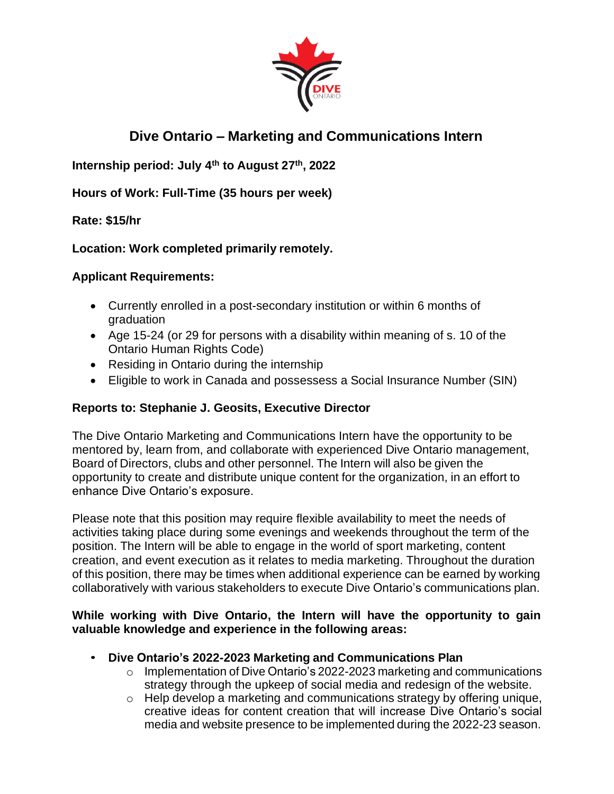

# **Dive Ontario – Marketing and Communications Intern**

**Internship period: July 4th to August 27th , 2022** 

**Hours of Work: Full-Time (35 hours per week)**

# **Rate: \$15/hr**

# **Location: Work completed primarily remotely.**

# **Applicant Requirements:**

- Currently enrolled in a post-secondary institution or within 6 months of graduation
- Age 15-24 (or 29 for persons with a disability within meaning of s. 10 of the Ontario Human Rights Code)
- Residing in Ontario during the internship
- Eligible to work in Canada and possessess a Social Insurance Number (SIN)

# **Reports to: Stephanie J. Geosits, Executive Director**

The Dive Ontario Marketing and Communications Intern have the opportunity to be mentored by, learn from, and collaborate with experienced Dive Ontario management, Board of Directors, clubs and other personnel. The Intern will also be given the opportunity to create and distribute unique content for the organization, in an effort to enhance Dive Ontario's exposure.

Please note that this position may require flexible availability to meet the needs of activities taking place during some evenings and weekends throughout the term of the position. The Intern will be able to engage in the world of sport marketing, content creation, and event execution as it relates to media marketing. Throughout the duration of this position, there may be times when additional experience can be earned by working collaboratively with various stakeholders to execute Dive Ontario's communications plan.

#### **While working with Dive Ontario, the Intern will have the opportunity to gain valuable knowledge and experience in the following areas:**

- **Dive Ontario's 2022-2023 Marketing and Communications Plan**
	- o Implementation of Dive Ontario's 2022-2023 marketing and communications strategy through the upkeep of social media and redesign of the website.
	- o Help develop a marketing and communications strategy by offering unique, creative ideas for content creation that will increase Dive Ontario's social media and website presence to be implemented during the 2022-23 season.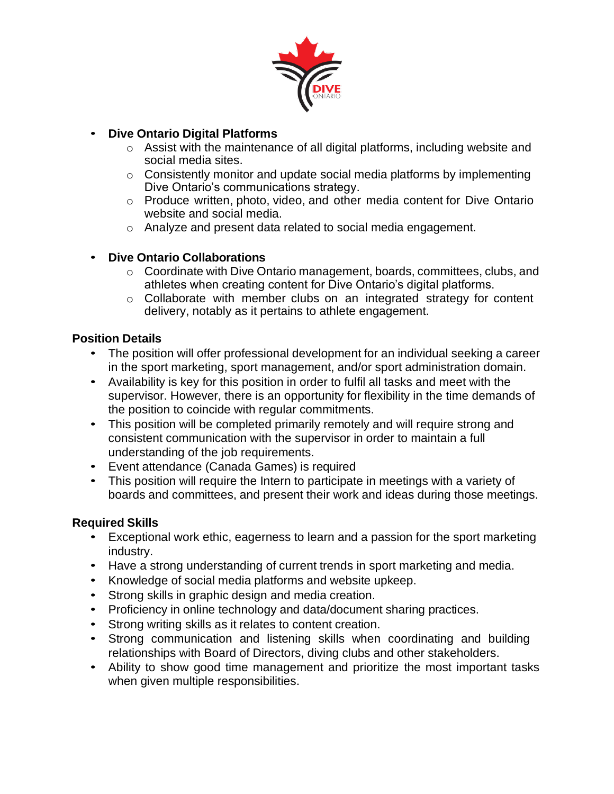

# • **Dive Ontario Digital Platforms**

- o Assist with the maintenance of all digital platforms, including website and social media sites.
- o Consistently monitor and update social media platforms by implementing Dive Ontario's communications strategy.
- o Produce written, photo, video, and other media content for Dive Ontario website and social media.
- o Analyze and present data related to social media engagement.

# • **Dive Ontario Collaborations**

- o Coordinate with Dive Ontario management, boards, committees, clubs, and athletes when creating content for Dive Ontario's digital platforms.
- o Collaborate with member clubs on an integrated strategy for content delivery, notably as it pertains to athlete engagement.

# **Position Details**

- The position will offer professional development for an individual seeking a career in the sport marketing, sport management, and/or sport administration domain.
- Availability is key for this position in order to fulfil all tasks and meet with the supervisor. However, there is an opportunity for flexibility in the time demands of the position to coincide with regular commitments.
- This position will be completed primarily remotely and will require strong and consistent communication with the supervisor in order to maintain a full understanding of the job requirements.
- Event attendance (Canada Games) is required
- This position will require the Intern to participate in meetings with a variety of boards and committees, and present their work and ideas during those meetings.

# **Required Skills**

- Exceptional work ethic, eagerness to learn and a passion for the sport marketing industry.
- Have a strong understanding of current trends in sport marketing and media.
- Knowledge of social media platforms and website upkeep.
- Strong skills in graphic design and media creation.
- Proficiency in online technology and data/document sharing practices.
- Strong writing skills as it relates to content creation.
- Strong communication and listening skills when coordinating and building relationships with Board of Directors, diving clubs and other stakeholders.
- Ability to show good time management and prioritize the most important tasks when given multiple responsibilities.